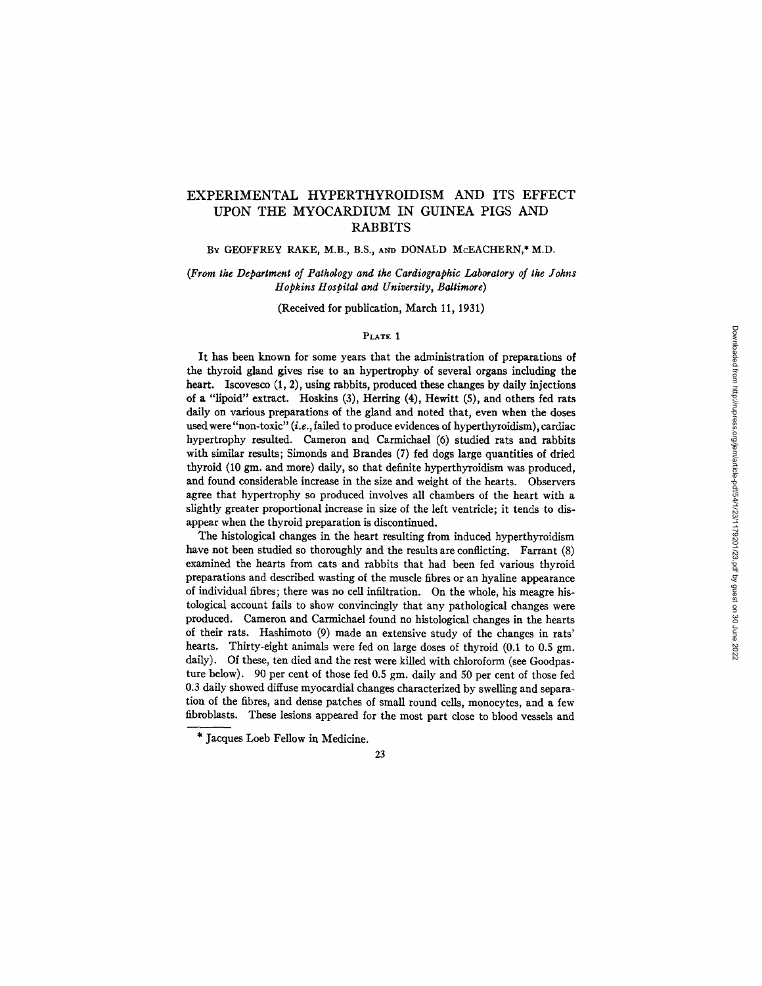# EXPERIMENTAL HYPERTHYROIDISM AND ITS EFFECT UPON THE MYOCARDIUM IN GUINEA PIGS AND RABBITS

#### BY GEOFFREY RAKE, M.B., B.S., AND DONALD McEACHERN,\* M.D.

*(From the Department of Pathology and the Cardiographic Laboratory of the Johns*   $H$ opkins Hospital and University, Baltimore)

(Received for publication, March 11, 1931)

## **PLATE** 1

It has been known for some years that the administration of preparations of the thyroid gland gives rise to an hypertrophy of several organs including the heart. Iscovesco (1, 2), using rabbits, produced these changes by daily injections of a "lipoid" extract. Hoskins (3), Herring (4), Hewitt (5), and others fed rats daily on various preparations of the gland and noted that, even when the doses used were "non-toxic" (i.e., failed to produce evidences of hyperthyroidism), cardiac hypertrophy resulted. Cameron and Carmichael (6) studied rats and rabbits with similar results; Simonds and Brandes (7) fed dogs large quantities of dried thyroid (10 gm. and more) daily, so that definite hyperthyroidism was produced, and found considerable increase in the size and weight of the hearts. Observers agree that hypertrophy so produced involves all chambers of the heart with a slightly greater proportional increase in size of the left ventricle; it tends to disappear when the thyroid preparation is discontinued.

The histological changes in the heart resulting from induced hyperthyroidism have not been studied so thoroughly and the results are conflicting. Farrant (8) examined the hearts from cats and rabbits that had been fed various thyroid preparations and described wasting of the muscle fibres or an hyaline appearance of individual fibres; there was no cell infiltration. On the whole, his meagre histological account fails to show convincingly that any pathological changes were produced. Cameron and Carmichael found no histological changes in the hearts of their rats. Hashimoto (9) made an extensive study of the changes in rats' hearts. Thirty-eight animals were fed on large doses of thyroid (0.1 to 0.5 gm. daily). Of these, ten died and the rest were killed with chloroform (see Goodpasture below). 90 per cent of those fed 0.5 gm. daily and 50 per cent of those fed 0.3 daily showed diffuse myocardial changes characterized by swelling and separation of the fibres, and dense patches of small round cells, monocytes, and a few fibroblasts. These lesions appeared for the most part close to blood vessels and

<sup>\*</sup> Jacques Loeb Fellow in Medicine.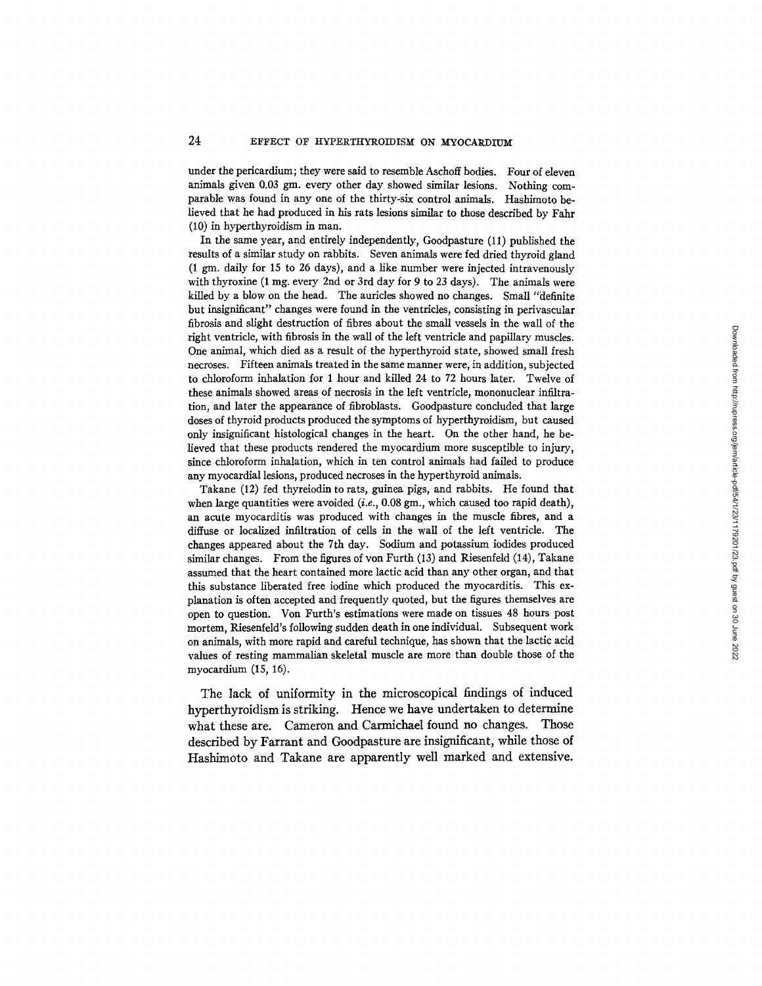under the pericardium; they were said to resemble Aschoff bodies. Four of eleven animals given 0.03 gm. every other day showed similar lesions. Nothing comparable was found in any one of the thirty-six control animals. Hashimoto believed that he had produced in his rats lesions similar to those described by Fahr (10) in hyperthyroidism in man.

In the same year, and entirely independently, Goodpasture (11) published the results of a similar study on rabbits. Seven animals were fed dried thyroid gland (1 gm. daily for 15 to 26 days), and a like number were injected intravenously with thyroxine (1 mg. every 2nd or 3rd day for 9 to 23 days). The animals were killed by a blow on the head. The auricles showed no changes. Small "definite" but insignificant" changes were found in the ventricles, consisting in perivascular fibrosis and slight destruction of fibres about the small vessels in the wall of the right ventricle, with fibrosis in the wall of the left ventricle and papillary muscles. One animal, which died as a result of the hyperthyroid state, showed small fresh necroses. Fifteen animals treated in the same manner were, in addition, subjected to chloroform inhalation for 1 hour and killed 24 to 72 hours later. Twelve of these animals showed areas of necrosis in the left ventricle, mononuclear infiltration, and later the appearance of fibroblasts. Goodpasture concluded that large doses of thyroid products produced the symptoms of hyperthyroidism, but caused only insignificant histological changes in the heart. On the other hand, he believed that these products rendered the myocardium more susceptible to injury, since chloroform inhalation, which in ten control animals had failed to produce any myocardial lesions, produced necroses in the hyperthyroid animals.

Takane (12) fed thyreiodin to rats, guinea pigs, and rabbits. He found that when large quantities were avoided *(i.e.*, 0.08 gm., which caused too rapid death), an acute myocarditis was produced with changes in the muscle fibres, and a diffuse or localized infiltration of cells in the wall of the left *ventricle.* The changes appeared about the 7th day. Sodium and potassium iodides produced similar changes. From the figures of yon Furth (13) and Riesenfeld (14), Takane assumed that the heart contained more lactic acid than any other organ, and that this substance liberated free iodine which produced the myocarditis. This explanation is often accepted and frequently quoted, but the figures themselves are open to question. Von Furth's estimations were made on tissues 48 hours post mortem, Riesenfeld's following sudden death in one individual. Subsequent work on animals, with more rapid and careful technique, has shown that the lactic acid values of resting mammalian skeletal muscle are more than double those of the myocardium (15, 16).

The lack of uniformity in the microscopical findings of induced hyperthyroidism is striking. Hence we have undertaken to determine what these are. Cameron and Carmichael found no changes. Those described by Farrant and Goodpasture are insignificant, while those of Hashimoto and Takane are apparently well marked and extensive.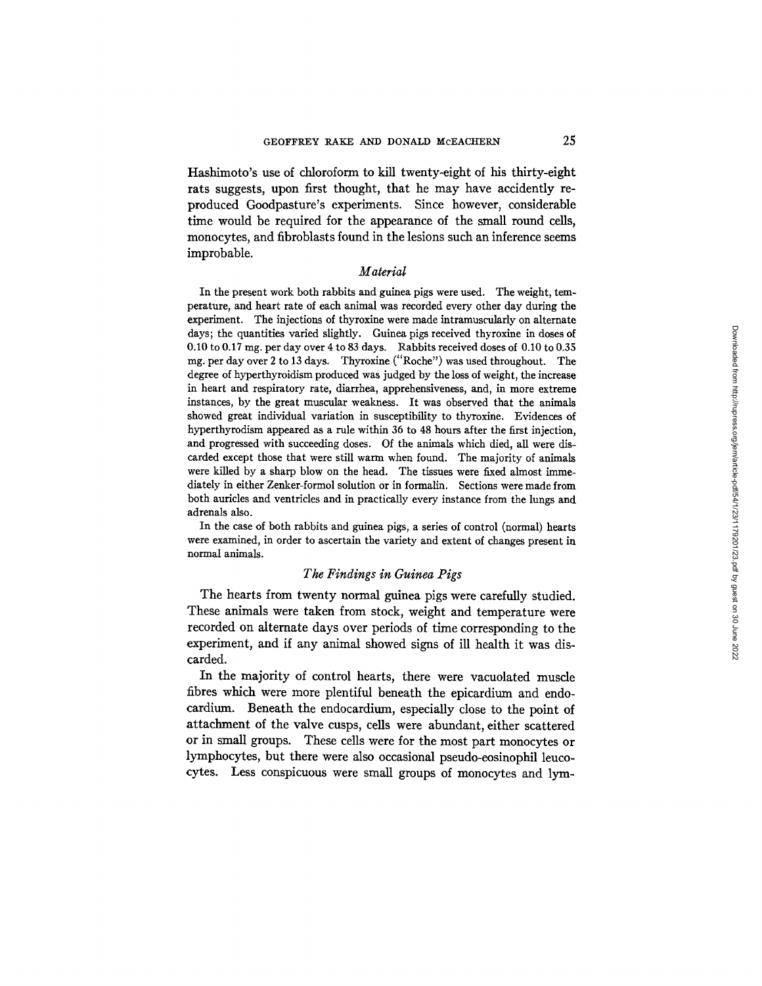Hashimoto's use of chloroform to kill twenty-eight of his thirty-eight rats suggests, upon first thought, that he may have accidently reproduced Goodpasture's experiments. Since however, considerable time would be required for the appearance of the small round cells, monocytes, and fibroblasts found in the lesions such an inference seems improbable.

### *Material*

In the present work both rabbits and guinea pigs were used. The weight, temperature, and heart rate of each animal was recorded every other day during the experiment. The injections of thyroxine were made intramuscularly on alternate days; the quantities varied slightly. Guinea pigs received thyroxine in doses of 0.10 to 0.17 mg. per day over 4 to 83 days. Rabbits received doses of 0.10 to 0.35 mg. per day over 2 to 13 days. Thyroxine ("Roche") was used throughout. The degree of hyperthyroidism produced was judged by the loss of weight, the increase in heart and respiratory rate, diarrhea, apprehensiveness, and, in more extreme instances, by the great muscular weakness. It was observed that the animals showed great individual variation in susceptibility to thyroxine. Evidences of hyperthyrodism appeared as a rule within 36 to 48 hours after the first injection, and progressed with succeeding doses. Of the animals which died, all were discarded except those that were still warm when found. The majority of animals were killed by a sharp blow on the head. The tissues were fixed almost immediately in either Zenker-formol solution or in formalin. Sections were made from both auricles and ventricles and in practically every instance from the lungs and adrenals also.

In the case of both rabbits and guinea pigs, a series of control (normal) hearts were examined, in order to ascertain the variety and extent of changes present in normal animals.

## *The Findings in Guinea Pigs*

The hearts from twenty normal guinea pigs were carefully studied. These animals were taken from stock, weight and temperature were recorded on alternate days over periods of time corresponding to the experiment, and if any animal showed signs of ill health it was discarded.

In the majority of control hearts, there were vacuolated muscle fibres which were more plentiful beneath the epicardium and endocardium. Beneath the endocardium, especially close to the point of attachment of the valve cusps, cells were abundant, either scattered or in small groups. These cells were for the most part monocytes or lymphocytes, but there were also occasional pseudo-eosinophil leucocytes. Less conspicuous were small groups of monocytes and lym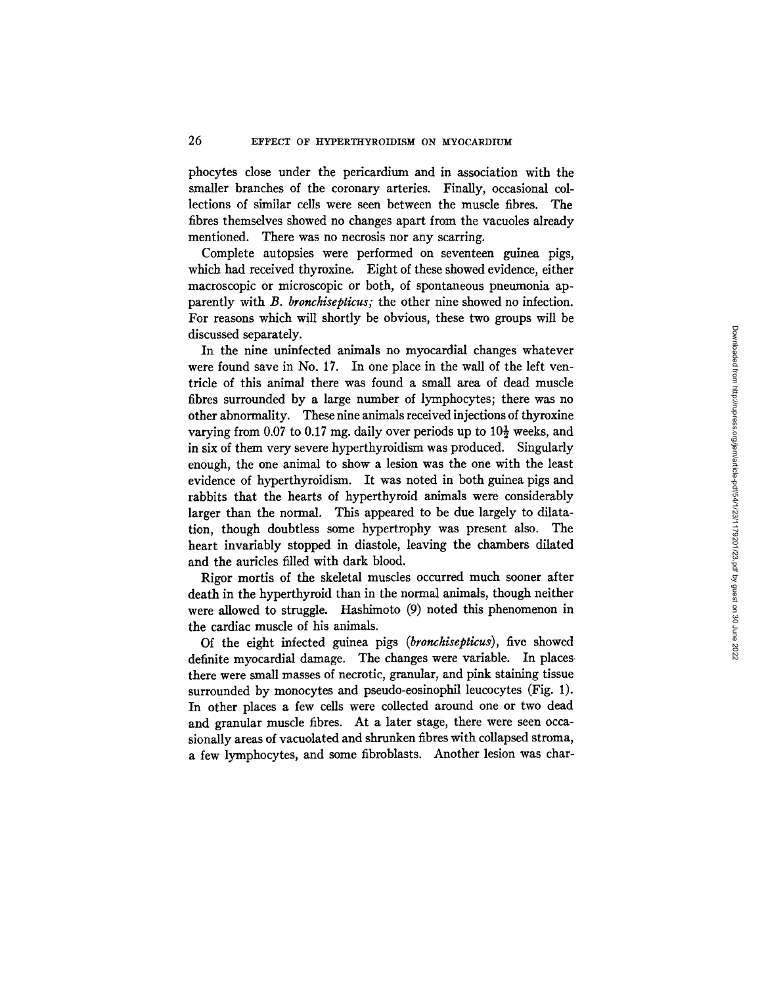phocytes close under the pericardium and in association with the smaller branches of the coronary arteries. Finally, occasional collections of similar cells were seen between the muscle fibres. The fibres themselves showed no changes apart from the vacuoles already mentioned. There was no necrosis nor any scarring.

Complete autopsies were performed on seventeen guinea pigs, which had received thyroxine. Eight of these showed evidence, either macroscopic or microscopic or both, of spontaneous pneumonia apparently with *B. bronchisepticus*; the other nine showed no infection. For reasons which will shortly be obvious, these two groups will be discussed separately.

In the nine uninfected animals no myocardial changes whatever were found save in No. 17. In one place in the wall of the left ventricle of this animal there was found a small area of dead muscle fibres surrounded by a large number of lymphocytes; there was no other abnormality. These nine animals received injections of thyroxine varying from 0.07 to 0.17 mg. daily over periods up to  $10\frac{1}{2}$  weeks, and in six of them very severe hyperthyroidism was produced. Singularly enough, the one animal to show a lesion was the one with the least evidence of hyperthyroidism. It was noted in both guinea pigs and rabbits that the hearts of hyperthyroid animals were considerably larger than the normal. This appeared to be due largely to dilatation, though doubtless some hypertrophy was present also. The heart invariably stopped in diastole, leaving the chambers dilated and the auricles filled with dark blood.

Rigor mortis of the skeletal muscles occurred much sooner after death in the hyperthyroid than in the normal animals, though neither were allowed to struggle. Hashimoto (9) noted this phenomenon in the cardiac muscle of his animals.

Of the eight infected guinea pigs *(bronchisepticus),* five showed definite myocardial damage. The changes were variable. In places. there were small masses of necrotic, granular, and pink staining tissue surrounded by monocytes and pseudo-eosinophil leucocytes (Fig. 1). In other places a few cells were collected around one or two dead and granular muscle fibres. At a later stage, there were seen occasionally areas of vacuolated and shrunken fibres with collapsed stroma, a few lymphocytes, and some fibroblasts. Another lesion was char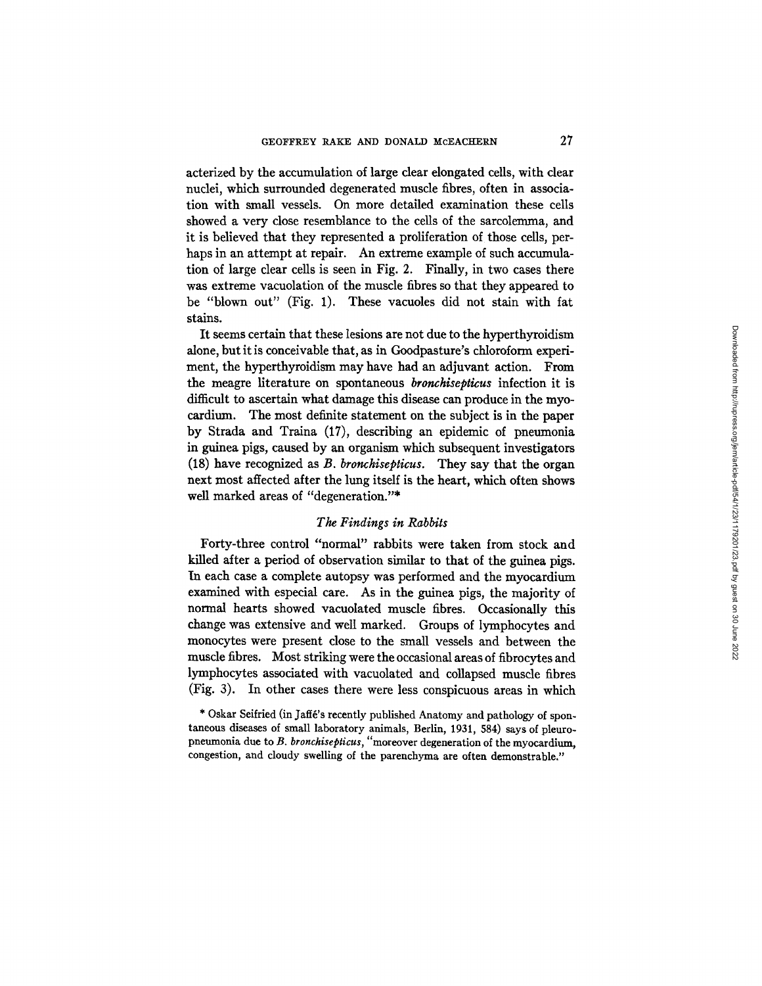acterized by the accumulation of large clear elongated cells, with clear nuclei, which surrounded degenerated muscle fibres, often in association with small vessels. On more detailed examination these cells showed a very close resemblance to the cells of the sarcolemma, and it is believed that they represented a proliferation of those cells, perhaps in an attempt at repair. An extreme example of such accumulation of large clear cells is seen in Fig. 2. Finally, in two cases there was extreme vacuolation of the muscle fibres so that they appeared to be "blown out" (Fig. 1). These vacuoles did not stain with fat stains.

It seems certain that these lesions are not due to the hyperthyroidism alone, but it is conceivable that, as in Goodpasture's chloroform experiment, the hyperthyroidism may have had an adjuvant action. From the meagre literature on spontaneous *bronchisepticus* infection it is difficult to ascertain what damage this disease can produce in the myocardium. The most definite statement on the subject is in the paper by Strada and Traina (17), describing an epidemic of pneumonia in guinea pigs, caused by an organism which subsequent investigators (18) have recognized as *B. bronchisepticus.* They say that the organ next most affected after the lung itself is the heart, which often shows well marked areas of "degeneration."\*

## *The Findings in Rabbits*

Forty-three control "normal" rabbits were taken from stock and killed after a period of observation similar to that of the guinea pigs. In each case a complete autopsy was performed and the myocardium examined with especial care. As in the guinea pigs, the majority of normal hearts showed vacuolated muscle fibres. Occasionally this change was extensive and well marked. Groups of lymphocytes and monocytes were present close to the small vessels and between the muscle fibres. Most striking were the occasional areas of fibrocytes and lymphocytes associated with vacuolated and collapsed muscle fibres (Fig. 3). In other cases there were less conspicuous areas in which

<sup>\*</sup> Oskar Seifried (in Jaff6's recently published Anatomy and pathology of spontaneous diseases of small laboratory animals, Berlin, 1931, 584) says of pleuropneumonia due to *B. bronchisepticus,* "moreover degeneration of the myocardium, congestion, and cloudy swelling of the parenchyma are often demonstrable."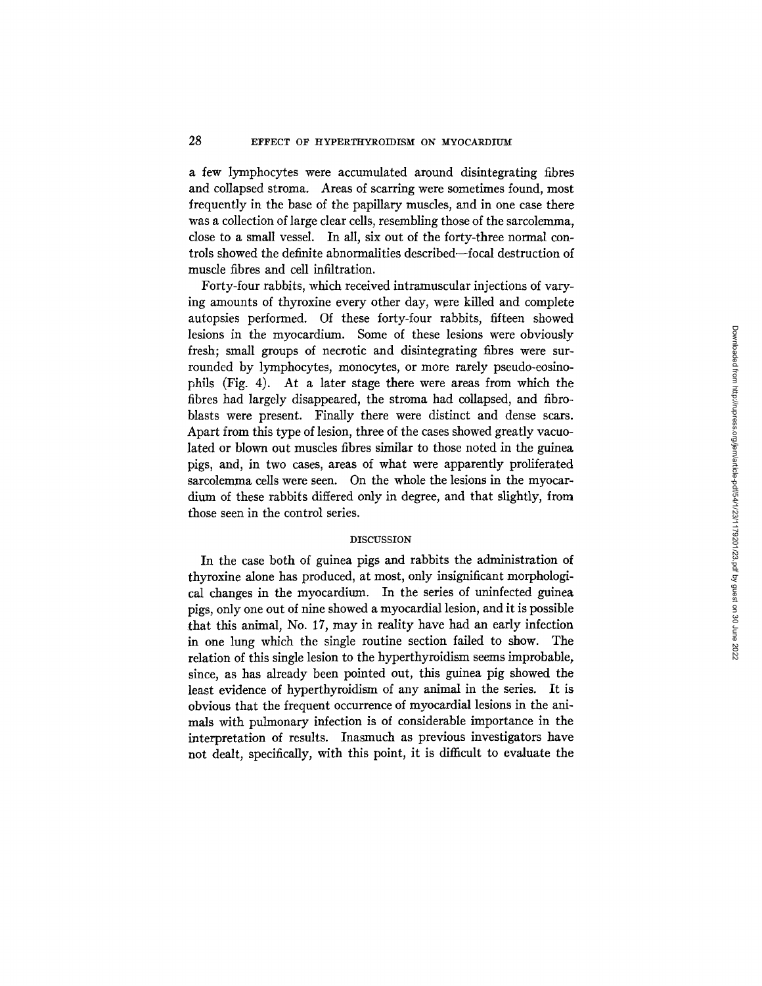a few lymphocytes were accumulated around disintegrating fibres and collapsed stroma. Areas of scarring were sometimes found, most frequently in the base of the papillary muscles, and in one case there was a collection of large clear cells, resembling those of the sarcolemma, close to a small vessel. In all, six out of the forty-three normal controls showed the definite abnormalities described--focal destruction of muscle fibres and cell infiltration.

Forty-four rabbits, which received intramuscular injections of varying amounts of thyroxine every other day, were killed and complete autopsies performed. Of these forty-four rabbits, fifteen showed lesions in the myocardium. Some of these lesions were obviously fresh; small groups of necrotic and disintegrating fibres were surrounded by lymphocytes, monocytes, or more rarely pseudo-eosinophils (Fig. 4). At a later stage there were areas from which the fibres had largely disappeared, the stroma had collapsed, and fibroblasts were present. Finally there were distinct and dense scars. Apart from this type of lesion, three of the cases showed greatly vacuolated or blown out muscles fibres similar to those noted in the guinea pigs, and, in two cases, areas of what were apparently proliferated sarcolemma cells were seen. On the whole the lesions in the myocardium of these rabbifs differed only in degree, and that slightly, from those seen in the control series.

#### DISCUSSION

In the case both of guinea pigs and rabbits the administration of thyroxine alone has produced, at most, only insignificant morphological changes in the myocardium. In the series of uninfected guinea pigs, only one out of nine showed a myocardial lesion, and it is possible that this animal, No. 17, may in reality have had an early infection in one lung which the single routine section failed to show. The relation of this single lesion to the hyperthyroidism seems improbable, since, as has already been pointed out, this guinea pig showed the least evidence of hyperthyroidism of any animal in the series. It is obvious that the frequent occurrence of myocardial lesions in the animals with pulmonary infection is of considerable importance in the interpretation of results. Inasmuch as previous investigators have not dealt, specifically, with this point, it is difficult to evaluate the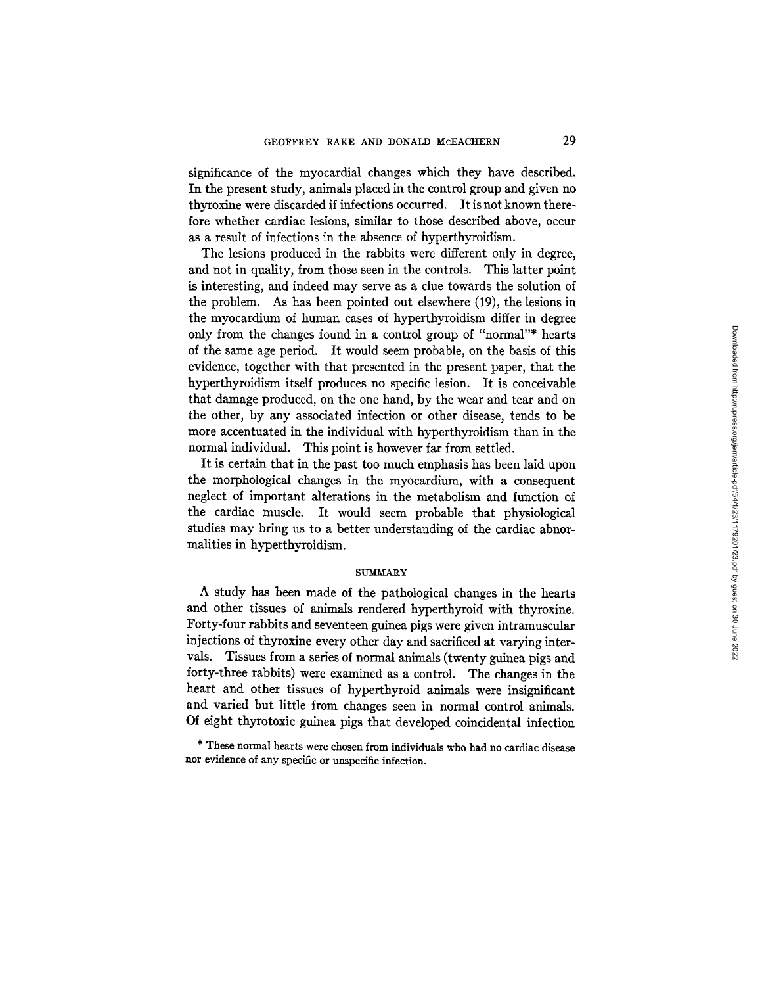significance of the myocardial changes which they have described. In the present study, animals placed in the control group and given no thyroxine were discarded if infections occurred. It is not known therefore whether cardiac lesions, similar to those described above, occur as a result of infections in the absence of hyperthyroidism.

The lesions produced in the rabbits were different only in degree, and not in quality, from those seen in the controls. This latter point is interesting, and indeed may serve as a clue towards the solution of the problem. As has been pointed out elsewhere (19), the lesions in the myocardium of human cases of hyperthyroidism differ in degree only from the changes found in a control group of "normal"\* hearts of the same age period. It would seem probable, on the basis of this evidence, together with that presented in the present paper, that the hyperthyroidism itself produces no specific lesion. It is conceivable that damage produced, on the one hand, by the wear and tear and on the other, by any associated infection or other disease, tends to be more accentuated in the individual with hyperthyroidism than in the normal individual. This point is however far from settled.

It is certain that in the past too much emphasis has been laid upon the morphological changes in the myocardium, with a consequent neglect of important alterations in the metabolism and function of the cardiac muscle. It would seem probable that physiological studies may bring us to a better understanding of the cardiac abnormalities in hyperthyroidism.

#### SUMMARY

A study has been made of the pathological changes in the hearts and other tissues of animals rendered hyperthyroid with thyroxine. Forty-four rabbits and seventeen guinea pigs were given intramuscular injections of thyroxine every other day and sacrificed at varying intervals. Tissues from a series of normal animals (twenty guinea pigs and forty-three rabbits) were examined as a control. The changes in the heart and other tissues of hyperthyroid animals were insignificant and varied but little from changes seen in normal control animals. Of eight thyrotoxic guinea pigs that developed coincidental infection

<sup>\*</sup> These normal hearts were chosen from individuals who had no cardiac disease nor evidence of any specific or unspecific infection.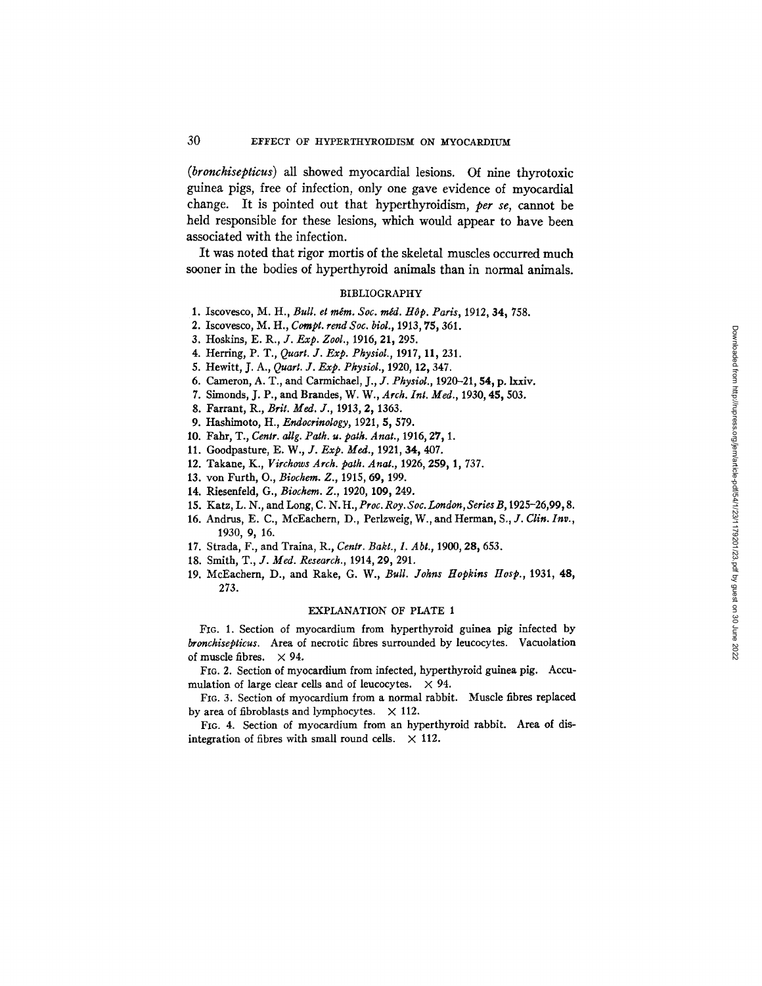*(bronchisepticus)* all showed myocardial lesions. Of nine thyrotoxic guinea pigs, free of infection, only one gave evidence of myocardial change. It is pointed out that hyperthyroidism, per se, cannot be held responsible for these lesions, which would appear to have been associated with the infection.

It was noted that rigor mortis of the skeletal muscles occurred much sooner in the bodies of hyperthyroid animals than in normal animals.

#### BIBLIOGRAPHY

- 1. Iscovesco, M. H., *Bull. el m~m. Soc. mid. HOp. Paris,* 1912, 34, 758.
- 2. Iscovesco, M. H., *Compt. rend Soc. bid.,* 1913, 75, 361.
- 3. Hoskins, *E. R., d. Exp. Zool.,* 1916, 21,295.
- 4. Herring, P. T., *Quart. J. Exp. Physiol.,* 1917, 11,231.
- 5. Hewitt, J. A., *Quart. J. Exp. Physiol.,* 1920, 12, 347.
- 6. Cameron, A. T., and Carmichael, *J., J. Physiol.,* 1920-21, \$4, p. lxxiv.
- 7. Simonds, J. P., and Brandes, W. W., *Arch. Int. Med.,* 1930, 45, 503.
- 8. Farrant, R., *Brit. Med. J.*, 1913, 2, 1363.
- 9. Hashimoto, H., *Endocrinology,* 1921, 5, 579.
- 10. Fahr, T., *Contr. allg. Path. u. path. Anat.,* 1916, 27, 1.
- 11. Goodpasture, *E. W., J. Exp. Med.,* 1921, 34, 407.
- 12. Takane, K., *Virchows Arch. path. Anat.,* 1926, 259, 1,737.
- 13. yon Furth, O., *Biochem. Z.,* 1915, 69, 199.
- 14. Riesenfeld, G., *Biochem. Z.,* 1920, 109, 249.
- 15. Katz, L. N., and Long, C. N. H., *Proc. Roy. Soc. London, Series B,* 1925-26,99, 8.
- 16. Andrus, E. C., McEachern, D., Perlzweig, W., and Herman, *S., J. Clin. Inv.,*  1930, 9, 16.
- 17. Strada, F., and Tralna, R., *Contr. Bakt., 1. Abt.,* 1900, 28, 653.
- 18. Smith, *T., J. Med. Research.,* 1914, 29, 291.
- 19. McEachern, D., and Rake, G. W., *Bull. Johns Hopkins Hosp.*, 1931, 48, 273.

## EXPLANATION OF PLATE 1

FIc. 1. Section of myocardium from hyperthyroid guinea pig infected by *bronchisepticus.* Area of necrotic fibres surrounded by leucocytes. Vacuolation of muscle fibres.  $\times$  94.

FIG. 2. Section of myocardium from infected, hyperthyroid guinea pig. Accumulation of large clear cells and of leucocytes.  $\times$  94.

FIG. 3. Section of myocardium from a normal rabbit. Muscle fibres replaced by area of fibroblasts and lymphocytes.  $\times$  112.

FIG. 4. Section of myocardium from an hyperthyroid rabbit. Area of disintegration of fibres with small round cells.  $\times$  112.